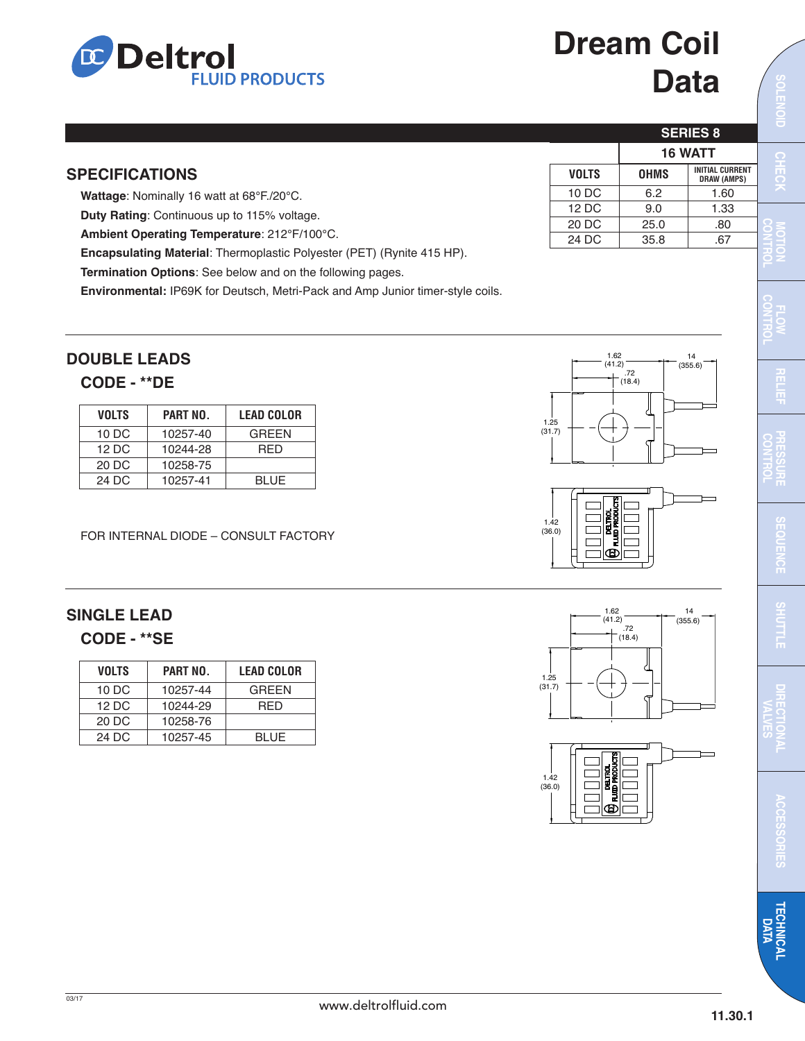## **Deltrol FLUID PRODUCTS**

# **Dream Coil Data**

**SERIES 8**

**16 WATT**

 14 (355.6)

**VOLTS OHMS INITIAL CURRENT DRAW (AMPS)** 10 DC 6.2 1.60 12 DC 9.0 1.33 20 DC 25.0 .80 24 DC 35.8 67

O<br>巴<br>巴 **OID C H C**

**M**

**C O N**

**O**

**C O N T R OL**

| <b>SPECIFICATIONS</b>                                                         |  |
|-------------------------------------------------------------------------------|--|
| Wattage: Nominally 16 watt at 68°F./20°C.                                     |  |
| <b>Duty Rating:</b> Continuous up to 115% voltage.                            |  |
| Ambient Operating Temperature: 212°F/100°C.                                   |  |
| <b>Encapsulating Material:</b> Thermoplastic Polyester (PET) (Rynite 415 HP). |  |
|                                                                               |  |

**Termination Options**: See below and on the following pages.

**Environmental:** IP69K for Deutsch, Metri-Pack and Amp Junior timer-style coils.

### **DOUBLE LEADS**

#### **CODE - \*\*DE**

| <b>VOLTS</b>      | PART NO. | <b>LEAD COLOR</b> |
|-------------------|----------|-------------------|
| 10 DC             | 10257-40 | <b>GREEN</b>      |
| $12\overline{D}C$ | 10244-28 | RFD               |
| 20 DC             | 10258-75 |                   |
| 24 D.C            | 10257-41 | <b>BLUE</b>       |

FOR INTERNAL DIODE – CONSULT FACTORY

### **SINGLE LEAD CODE - \*\*SE**

| <b>VOLTS</b> | PART NO. | <b>LEAD COLOR</b> |
|--------------|----------|-------------------|
| 10 DC        | 10257-44 | <b>GREEN</b>      |
| 12 DC        | 10244-29 | RED               |
| 20 DC        | 10258-76 |                   |
| 24 DC        | 10257-45 | <b>BLUE</b>       |

 1.62 (41.2) 1.25 (31.7) .72  $^{-(18.4)}$  14 (355.6)

ക

1.42  $(36.0)$ 

1.25 (31.7)

 $.72$  $(18.4)$ 

 1.62  $(41.2)$ 





www.deltrolfluid.com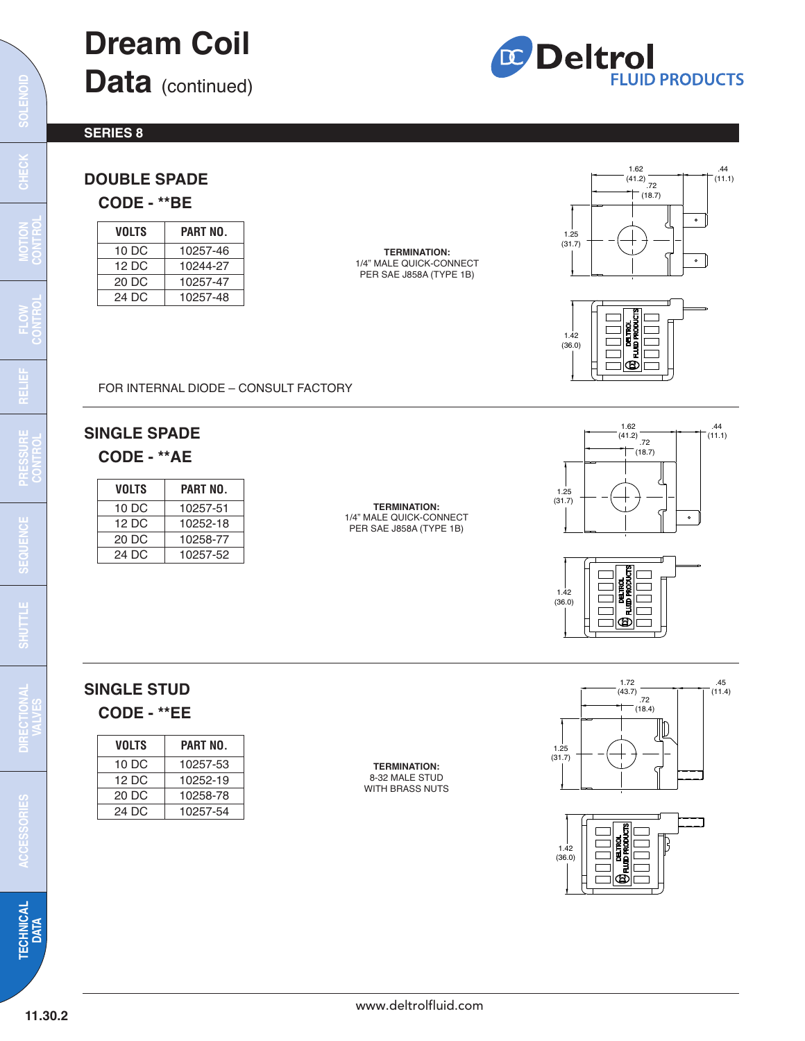## **Dream Coil Data** (continued)



**S E R I E S 8**

## **D O U B L E S PA D E**

**C O D E - \* \* B E**

| VOLTS  | PART NO. |
|--------|----------|
| 10 DC  | 10257-46 |
| 12 D.C | 10244-27 |
| 20 DC  | 10257-47 |
| 24 D.C | 10257-48 |

**T E R M I N AT I O N :** 1/4" MALE QUICK-CONNECT PER SAE J858A (TYPE 1B)





FOR INTERNAL DIODE – CONSULT FACTORY

## **S I N G L E S PA D E**

**C O D E - \* \* A E**

| VOLTS | PART NO. |
|-------|----------|
| 10 DC | 10257-51 |
| 12 DC | 10252-18 |
| 20 DC | 10258-77 |
| 24 DC | 10257-52 |
|       |          |

**T E R M I N AT I O N :** 1/4" MALE QUICK-CONNECT PER SAE J858A (TYPE 1B)





## SINGLE STUD **C O D E - \* \* E E**

| VOLTS  | PART NO. |
|--------|----------|
| 10 DC  | 10257-53 |
| 12 D.C | 10252-19 |
| 20 DC  | 10258-78 |
| 24 D.C | 10257-54 |

**T E R M I N AT I O N :** 8 - 3 2 M A L E S T U D WITH BRASS NUTS





**ACCESSORIES**